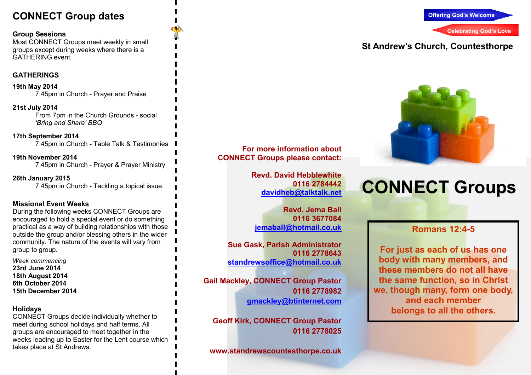# **CONNECT Group dates**

#### **Group Sessions**

 Most CONNECT Groups meet weekly in small groups except during weeks where there is a GATHERING event.

#### **GATHERINGS**

**19th May 2014** 7.45pm in Church - Prayer and Praise

**21st July 2014**  From 7pm in the Church Grounds - social *'Bring and Share' BBQ*

**17th September 2014** 7.45pm in Church - Table Talk & Testimonies

**19th November 2014** 7.45pm in Church - Prayer & Prayer Ministry

**26th January 2015** 7.45pm in Church - Tackling a topical issue.

#### **Missional Event Weeks**

 During the following weeks CONNECT Groups are encouraged to hold a special event or do something practical as a way of building relationships with those outside the group and/or blessing others in the wider community. The nature of the events will vary from group to group.

*Week commencing* **23rd June 2014 18th August 2014 6th October 2014 15th December 2014** 

#### **Holidays**

 CONNECT Groups decide individually whether to meet during school holidays and half terms. All groups are encouraged to meet together in the weeks leading up to Easter for the Lent course which takes place at St Andrews.

**For more information about CONNECT Groups please contact:** 

> **Revd. David Hebblewhite 0116 2784442 davidheb@talktalk.net**

**Revd. Jema Ball 0116 3677084jemaball@hotmail.co.uk**

**Sue Gask, Parish Administrator 0116 2778643 standrewsoffice@hotmail.co.uk** 

**Gail Mackley, CONNECT Group Pastor 0116 2778982 gmackley@btinternet.com** 

**Geoff Kirk, CONNECT Group Pastor 0116 2778025** 

**www.standrewscountesthorpe.co.uk** 



# **St Andrew's Church, Countesthorpe**



# **CONNECT Groups**

## **Romans 12:4-5**

**For just as each of us has one body with many members, and these members do not all have the same function, so in Christ we, though many, form one body, and each member belongs to all the others.**